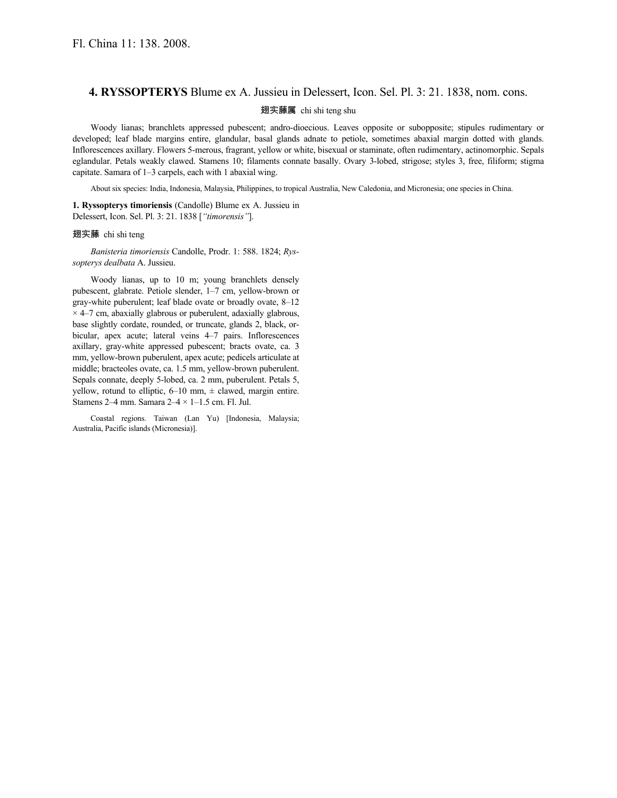## **4. RYSSOPTERYS** Blume ex A. Jussieu in Delessert, Icon. Sel. Pl. 3: 21. 1838, nom. cons.

## 翅实藤属 chi shi teng shu

Woody lianas; branchlets appressed pubescent; andro-dioecious. Leaves opposite or subopposite; stipules rudimentary or developed; leaf blade margins entire, glandular, basal glands adnate to petiole, sometimes abaxial margin dotted with glands. Inflorescences axillary. Flowers 5-merous, fragrant, yellow or white, bisexual or staminate, often rudimentary, actinomorphic. Sepals eglandular. Petals weakly clawed. Stamens 10; filaments connate basally. Ovary 3-lobed, strigose; styles 3, free, filiform; stigma capitate. Samara of 1–3 carpels, each with 1 abaxial wing.

About six species: India, Indonesia, Malaysia, Philippines, to tropical Australia, New Caledonia, and Micronesia; one species in China.

**1. Ryssopterys timoriensis** (Candolle) Blume ex A. Jussieu in Delessert, Icon. Sel. Pl. 3: 21. 1838 [*"timorensis"*].

## 翅实藤 chi shi teng

*Banisteria timoriensis* Candolle, Prodr. 1: 588. 1824; *Ryssopterys dealbata* A. Jussieu.

Woody lianas, up to 10 m; young branchlets densely pubescent, glabrate. Petiole slender, 1–7 cm, yellow-brown or gray-white puberulent; leaf blade ovate or broadly ovate, 8–12  $\times$  4–7 cm, abaxially glabrous or puberulent, adaxially glabrous, base slightly cordate, rounded, or truncate, glands 2, black, orbicular, apex acute; lateral veins 4–7 pairs. Inflorescences axillary, gray-white appressed pubescent; bracts ovate, ca. 3 mm, yellow-brown puberulent, apex acute; pedicels articulate at middle; bracteoles ovate, ca. 1.5 mm, yellow-brown puberulent. Sepals connate, deeply 5-lobed, ca. 2 mm, puberulent. Petals 5, yellow, rotund to elliptic,  $6-10$  mm,  $\pm$  clawed, margin entire. Stamens 2–4 mm. Samara  $2-4 \times 1-1.5$  cm. Fl. Jul.

Coastal regions. Taiwan (Lan Yu) [Indonesia, Malaysia; Australia, Pacific islands (Micronesia)].